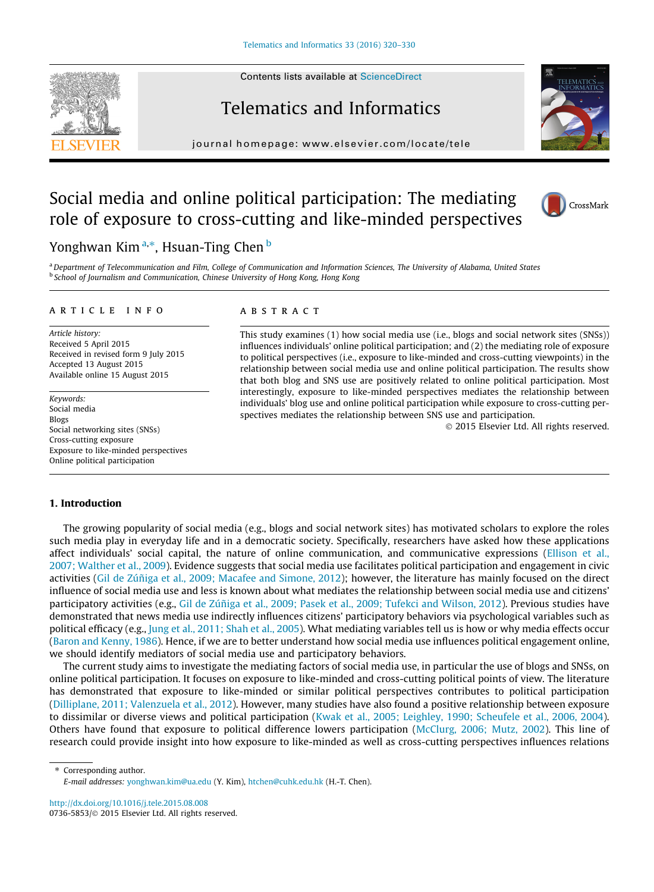# Telematics and Informatics

journal homepage: [www.elsevier.com/locate/tele](http://www.elsevier.com/locate/tele)



CrossMark

## Social media and online political participation: The mediating role of exposure to cross-cutting and like-minded perspectives



a Department of Telecommunication and Film, College of Communication and Information Sciences, The University of Alabama, United States b School of Journalism and Communication, Chinese University of Hong Kong, Hong Kong

### article info

Article history: Received 5 April 2015 Received in revised form 9 July 2015 Accepted 13 August 2015 Available online 15 August 2015

Keywords: Social media Blogs Social networking sites (SNSs) Cross-cutting exposure Exposure to like-minded perspectives Online political participation

## 1. Introduction

## **ABSTRACT**

This study examines (1) how social media use (i.e., blogs and social network sites (SNSs)) influences individuals' online political participation; and (2) the mediating role of exposure to political perspectives (i.e., exposure to like-minded and cross-cutting viewpoints) in the relationship between social media use and online political participation. The results show that both blog and SNS use are positively related to online political participation. Most interestingly, exposure to like-minded perspectives mediates the relationship between individuals' blog use and online political participation while exposure to cross-cutting perspectives mediates the relationship between SNS use and participation.

2015 Elsevier Ltd. All rights reserved.

The growing popularity of social media (e.g., blogs and social network sites) has motivated scholars to explore the roles such media play in everyday life and in a democratic society. Specifically, researchers have asked how these applications affect individuals' social capital, the nature of online communication, and communicative expressions ([Ellison et al.,](#page-8-0) [2007; Walther et al., 2009](#page-8-0)). Evidence suggests that social media use facilitates political participation and engagement in civic activities ([Gil de Zúñiga et al., 2009; Macafee and Simone, 2012](#page-9-0)); however, the literature has mainly focused on the direct influence of social media use and less is known about what mediates the relationship between social media use and citizens' participatory activities (e.g., [Gil de Zúñiga et al., 2009; Pasek et al., 2009; Tufekci and Wilson, 2012\)](#page-9-0). Previous studies have demonstrated that news media use indirectly influences citizens' participatory behaviors via psychological variables such as political efficacy (e.g., [Jung et al., 2011; Shah et al., 2005](#page-9-0)). What mediating variables tell us is how or why media effects occur [\(Baron and Kenny, 1986](#page-8-0)). Hence, if we are to better understand how social media use influences political engagement online, we should identify mediators of social media use and participatory behaviors.

The current study aims to investigate the mediating factors of social media use, in particular the use of blogs and SNSs, on online political participation. It focuses on exposure to like-minded and cross-cutting political points of view. The literature has demonstrated that exposure to like-minded or similar political perspectives contributes to political participation [\(Dilliplane, 2011; Valenzuela et al., 2012](#page-8-0)). However, many studies have also found a positive relationship between exposure to dissimilar or diverse views and political participation [\(Kwak et al., 2005; Leighley, 1990; Scheufele et al., 2006, 2004](#page-9-0)). Others have found that exposure to political difference lowers participation ([McClurg, 2006; Mutz, 2002\)](#page-9-0). This line of research could provide insight into how exposure to like-minded as well as cross-cutting perspectives influences relations

⇑ Corresponding author. E-mail addresses: [yonghwan.kim@ua.edu](mailto:yonghwan.kim@ua.edu) (Y. Kim), [htchen@cuhk.edu.hk](mailto:htchen@cuhk.edu.hk) (H.-T. Chen).

<http://dx.doi.org/10.1016/j.tele.2015.08.008> 0736-5853/© 2015 Elsevier Ltd. All rights reserved.

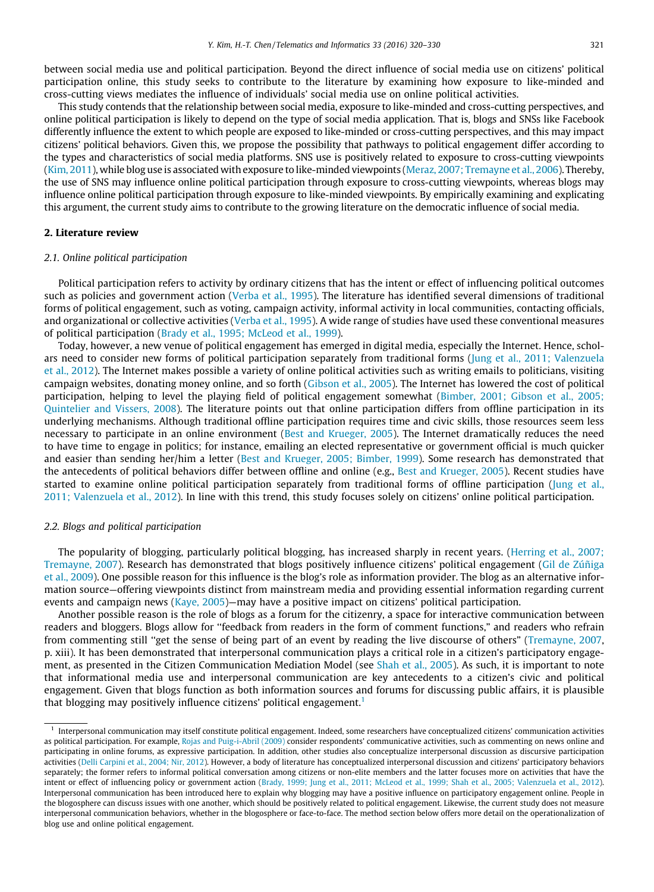between social media use and political participation. Beyond the direct influence of social media use on citizens' political participation online, this study seeks to contribute to the literature by examining how exposure to like-minded and cross-cutting views mediates the influence of individuals' social media use on online political activities.

This study contends that the relationship between social media, exposure to like-minded and cross-cutting perspectives, and online political participation is likely to depend on the type of social media application. That is, blogs and SNSs like Facebook differently influence the extent to which people are exposed to like-minded or cross-cutting perspectives, and this may impact citizens' political behaviors. Given this, we propose the possibility that pathways to political engagement differ according to the types and characteristics of social media platforms. SNS use is positively related to exposure to cross-cutting viewpoints ([Kim, 2011\)](#page-9-0), while blog use is associated with exposure to like-minded viewpoints [\(Meraz, 2007; Tremayne et al., 2006\)](#page-9-0). Thereby, the use of SNS may influence online political participation through exposure to cross-cutting viewpoints, whereas blogs may influence online political participation through exposure to like-minded viewpoints. By empirically examining and explicating this argument, the current study aims to contribute to the growing literature on the democratic influence of social media.

## 2. Literature review

#### 2.1. Online political participation

Political participation refers to activity by ordinary citizens that has the intent or effect of influencing political outcomes such as policies and government action [\(Verba et al., 1995\)](#page-10-0). The literature has identified several dimensions of traditional forms of political engagement, such as voting, campaign activity, informal activity in local communities, contacting officials, and organizational or collective activities [\(Verba et al., 1995\)](#page-10-0). A wide range of studies have used these conventional measures of political participation [\(Brady et al., 1995; McLeod et al., 1999\)](#page-8-0).

Today, however, a new venue of political engagement has emerged in digital media, especially the Internet. Hence, scholars need to consider new forms of political participation separately from traditional forms ([Jung et al., 2011; Valenzuela](#page-9-0) [et al., 2012](#page-9-0)). The Internet makes possible a variety of online political activities such as writing emails to politicians, visiting campaign websites, donating money online, and so forth [\(Gibson et al., 2005](#page-8-0)). The Internet has lowered the cost of political participation, helping to level the playing field of political engagement somewhat ([Bimber, 2001; Gibson et al., 2005;](#page-8-0) [Quintelier and Vissers, 2008](#page-8-0)). The literature points out that online participation differs from offline participation in its underlying mechanisms. Although traditional offline participation requires time and civic skills, those resources seem less necessary to participate in an online environment ([Best and Krueger, 2005](#page-8-0)). The Internet dramatically reduces the need to have time to engage in politics; for instance, emailing an elected representative or government official is much quicker and easier than sending her/him a letter ([Best and Krueger, 2005; Bimber, 1999](#page-8-0)). Some research has demonstrated that the antecedents of political behaviors differ between offline and online (e.g., [Best and Krueger, 2005\)](#page-8-0). Recent studies have started to examine online political participation separately from traditional forms of offline participation [\(Jung et al.,](#page-9-0) [2011; Valenzuela et al., 2012\)](#page-9-0). In line with this trend, this study focuses solely on citizens' online political participation.

#### 2.2. Blogs and political participation

The popularity of blogging, particularly political blogging, has increased sharply in recent years. [\(Herring et al., 2007;](#page-9-0) [Tremayne, 2007](#page-9-0)). Research has demonstrated that blogs positively influence citizens' political engagement ([Gil de Zúñiga](#page-9-0) [et al., 2009\)](#page-9-0). One possible reason for this influence is the blog's role as information provider. The blog as an alternative information source—offering viewpoints distinct from mainstream media and providing essential information regarding current events and campaign news ([Kaye, 2005](#page-9-0))—may have a positive impact on citizens' political participation.

Another possible reason is the role of blogs as a forum for the citizenry, a space for interactive communication between readers and bloggers. Blogs allow for ''feedback from readers in the form of comment functions," and readers who refrain from commenting still ''get the sense of being part of an event by reading the live discourse of others" ([Tremayne, 2007](#page-9-0), p. xiii). It has been demonstrated that interpersonal communication plays a critical role in a citizen's participatory engagement, as presented in the Citizen Communication Mediation Model (see [Shah et al., 2005](#page-9-0)). As such, it is important to note that informational media use and interpersonal communication are key antecedents to a citizen's civic and political engagement. Given that blogs function as both information sources and forums for discussing public affairs, it is plausible that blogging may positively influence citizens' political engagement.<sup>1</sup>

 $<sup>1</sup>$  Interpersonal communication may itself constitute political engagement. Indeed, some researchers have conceptualized citizens' communication activities</sup> as political participation. For example, [Rojas and Puig-i-Abril \(2009\)](#page-9-0) consider respondents' communicative activities, such as commenting on news online and participating in online forums, as expressive participation. In addition, other studies also conceptualize interpersonal discussion as discursive participation activities ([Delli Carpini et al., 2004; Nir, 2012](#page-8-0)). However, a body of literature has conceptualized interpersonal discussion and citizens' participatory behaviors separately; the former refers to informal political conversation among citizens or non-elite members and the latter focuses more on activities that have the intent or effect of influencing policy or government action ([Brady, 1999; Jung et al., 2011; McLeod et al., 1999; Shah et al., 2005; Valenzuela et al., 2012](#page-8-0)). Interpersonal communication has been introduced here to explain why blogging may have a positive influence on participatory engagement online. People in the blogosphere can discuss issues with one another, which should be positively related to political engagement. Likewise, the current study does not measure interpersonal communication behaviors, whether in the blogosphere or face-to-face. The method section below offers more detail on the operationalization of blog use and online political engagement.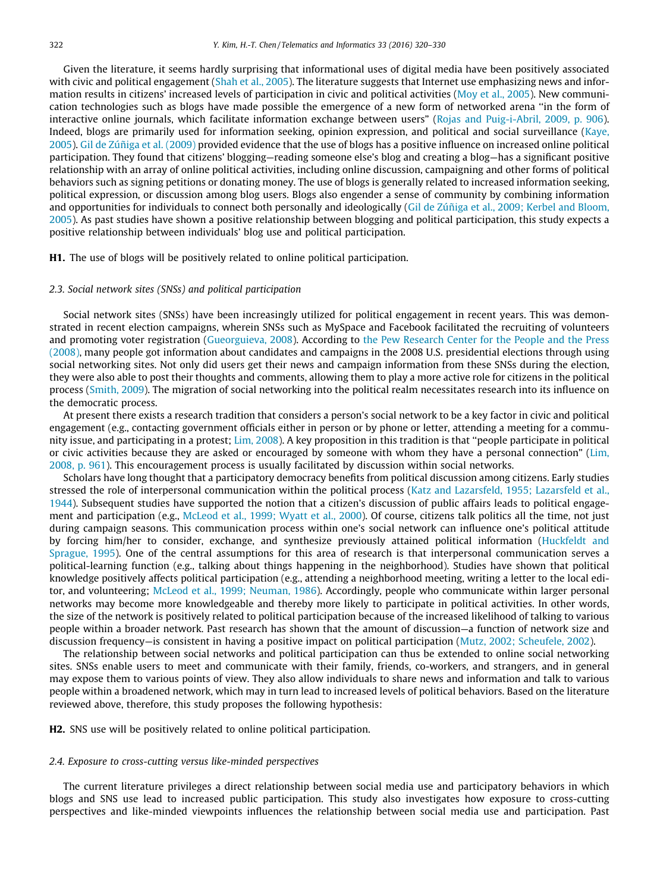<span id="page-2-0"></span>Given the literature, it seems hardly surprising that informational uses of digital media have been positively associated with civic and political engagement [\(Shah et al., 2005](#page-9-0)). The literature suggests that Internet use emphasizing news and information results in citizens' increased levels of participation in civic and political activities ([Moy et al., 2005](#page-9-0)). New communication technologies such as blogs have made possible the emergence of a new form of networked arena ''in the form of interactive online journals, which facilitate information exchange between users" ([Rojas and Puig-i-Abril, 2009, p. 906](#page-9-0)). Indeed, blogs are primarily used for information seeking, opinion expression, and political and social surveillance [\(Kaye,](#page-9-0) [2005](#page-9-0)). [Gil de Zúñiga et al. \(2009\)](#page-9-0) provided evidence that the use of blogs has a positive influence on increased online political participation. They found that citizens' blogging—reading someone else's blog and creating a blog—has a significant positive relationship with an array of online political activities, including online discussion, campaigning and other forms of political behaviors such as signing petitions or donating money. The use of blogs is generally related to increased information seeking, political expression, or discussion among blog users. Blogs also engender a sense of community by combining information and opportunities for individuals to connect both personally and ideologically ([Gil de Zúñiga et al., 2009; Kerbel and Bloom,](#page-9-0) [2005](#page-9-0)). As past studies have shown a positive relationship between blogging and political participation, this study expects a positive relationship between individuals' blog use and political participation.

H1. The use of blogs will be positively related to online political participation.

## 2.3. Social network sites (SNSs) and political participation

Social network sites (SNSs) have been increasingly utilized for political engagement in recent years. This was demonstrated in recent election campaigns, wherein SNSs such as MySpace and Facebook facilitated the recruiting of volunteers and promoting voter registration ([Gueorguieva, 2008\)](#page-9-0). According to [the Pew Research Center for the People and the Press](#page-9-0) [\(2008\)](#page-9-0), many people got information about candidates and campaigns in the 2008 U.S. presidential elections through using social networking sites. Not only did users get their news and campaign information from these SNSs during the election, they were also able to post their thoughts and comments, allowing them to play a more active role for citizens in the political process ([Smith, 2009](#page-9-0)). The migration of social networking into the political realm necessitates research into its influence on the democratic process.

At present there exists a research tradition that considers a person's social network to be a key factor in civic and political engagement (e.g., contacting government officials either in person or by phone or letter, attending a meeting for a community issue, and participating in a protest; [Lim, 2008\)](#page-9-0). A key proposition in this tradition is that ''people participate in political or civic activities because they are asked or encouraged by someone with whom they have a personal connection" [\(Lim,](#page-9-0) [2008, p. 961](#page-9-0)). This encouragement process is usually facilitated by discussion within social networks.

Scholars have long thought that a participatory democracy benefits from political discussion among citizens. Early studies stressed the role of interpersonal communication within the political process [\(Katz and Lazarsfeld, 1955; Lazarsfeld et al.,](#page-9-0) [1944](#page-9-0)). Subsequent studies have supported the notion that a citizen's discussion of public affairs leads to political engage-ment and participation (e.g., [McLeod et al., 1999; Wyatt et al., 2000](#page-9-0)). Of course, citizens talk politics all the time, not just during campaign seasons. This communication process within one's social network can influence one's political attitude by forcing him/her to consider, exchange, and synthesize previously attained political information [\(Huckfeldt and](#page-9-0) [Sprague, 1995](#page-9-0)). One of the central assumptions for this area of research is that interpersonal communication serves a political-learning function (e.g., talking about things happening in the neighborhood). Studies have shown that political knowledge positively affects political participation (e.g., attending a neighborhood meeting, writing a letter to the local editor, and volunteering; [McLeod et al., 1999; Neuman, 1986\)](#page-9-0). Accordingly, people who communicate within larger personal networks may become more knowledgeable and thereby more likely to participate in political activities. In other words, the size of the network is positively related to political participation because of the increased likelihood of talking to various people within a broader network. Past research has shown that the amount of discussion—a function of network size and discussion frequency—is consistent in having a positive impact on political participation [\(Mutz, 2002; Scheufele, 2002](#page-9-0)).

The relationship between social networks and political participation can thus be extended to online social networking sites. SNSs enable users to meet and communicate with their family, friends, co-workers, and strangers, and in general may expose them to various points of view. They also allow individuals to share news and information and talk to various people within a broadened network, which may in turn lead to increased levels of political behaviors. Based on the literature reviewed above, therefore, this study proposes the following hypothesis:

H2. SNS use will be positively related to online political participation.

### 2.4. Exposure to cross-cutting versus like-minded perspectives

The current literature privileges a direct relationship between social media use and participatory behaviors in which blogs and SNS use lead to increased public participation. This study also investigates how exposure to cross-cutting perspectives and like-minded viewpoints influences the relationship between social media use and participation. Past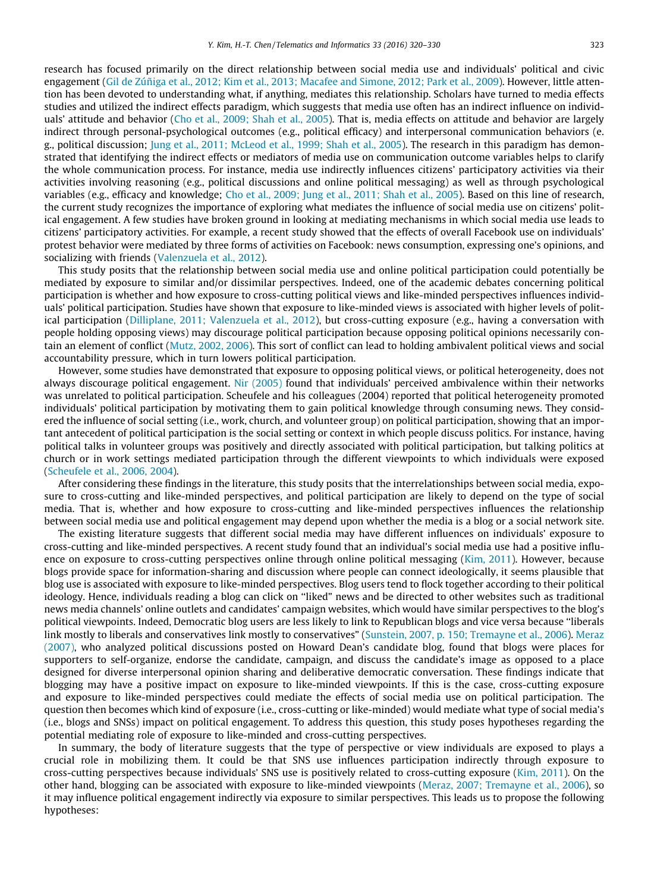research has focused primarily on the direct relationship between social media use and individuals' political and civic engagement [\(Gil de Zúñiga et al., 2012; Kim et al., 2013; Macafee and Simone, 2012; Park et al., 2009](#page-9-0)). However, little attention has been devoted to understanding what, if anything, mediates this relationship. Scholars have turned to media effects studies and utilized the indirect effects paradigm, which suggests that media use often has an indirect influence on individuals' attitude and behavior [\(Cho et al., 2009; Shah et al., 2005\)](#page-8-0). That is, media effects on attitude and behavior are largely indirect through personal-psychological outcomes (e.g., political efficacy) and interpersonal communication behaviors (e. g., political discussion; [Jung et al., 2011; McLeod et al., 1999; Shah et al., 2005\)](#page-9-0). The research in this paradigm has demonstrated that identifying the indirect effects or mediators of media use on communication outcome variables helps to clarify the whole communication process. For instance, media use indirectly influences citizens' participatory activities via their activities involving reasoning (e.g., political discussions and online political messaging) as well as through psychological variables (e.g., efficacy and knowledge; [Cho et al., 2009; Jung et al., 2011; Shah et al., 2005\)](#page-8-0). Based on this line of research, the current study recognizes the importance of exploring what mediates the influence of social media use on citizens' political engagement. A few studies have broken ground in looking at mediating mechanisms in which social media use leads to citizens' participatory activities. For example, a recent study showed that the effects of overall Facebook use on individuals' protest behavior were mediated by three forms of activities on Facebook: news consumption, expressing one's opinions, and socializing with friends [\(Valenzuela et al., 2012](#page-10-0)).

This study posits that the relationship between social media use and online political participation could potentially be mediated by exposure to similar and/or dissimilar perspectives. Indeed, one of the academic debates concerning political participation is whether and how exposure to cross-cutting political views and like-minded perspectives influences individuals' political participation. Studies have shown that exposure to like-minded views is associated with higher levels of political participation [\(Dilliplane, 2011; Valenzuela et al., 2012\)](#page-8-0), but cross-cutting exposure (e.g., having a conversation with people holding opposing views) may discourage political participation because opposing political opinions necessarily contain an element of conflict [\(Mutz, 2002, 2006](#page-9-0)). This sort of conflict can lead to holding ambivalent political views and social accountability pressure, which in turn lowers political participation.

However, some studies have demonstrated that exposure to opposing political views, or political heterogeneity, does not always discourage political engagement. [Nir \(2005\)](#page-9-0) found that individuals' perceived ambivalence within their networks was unrelated to political participation. Scheufele and his colleagues (2004) reported that political heterogeneity promoted individuals' political participation by motivating them to gain political knowledge through consuming news. They considered the influence of social setting (i.e., work, church, and volunteer group) on political participation, showing that an important antecedent of political participation is the social setting or context in which people discuss politics. For instance, having political talks in volunteer groups was positively and directly associated with political participation, but talking politics at church or in work settings mediated participation through the different viewpoints to which individuals were exposed ([Scheufele et al., 2006, 2004](#page-9-0)).

After considering these findings in the literature, this study posits that the interrelationships between social media, exposure to cross-cutting and like-minded perspectives, and political participation are likely to depend on the type of social media. That is, whether and how exposure to cross-cutting and like-minded perspectives influences the relationship between social media use and political engagement may depend upon whether the media is a blog or a social network site.

The existing literature suggests that different social media may have different influences on individuals' exposure to cross-cutting and like-minded perspectives. A recent study found that an individual's social media use had a positive influence on exposure to cross-cutting perspectives online through online political messaging ([Kim, 2011](#page-9-0)). However, because blogs provide space for information-sharing and discussion where people can connect ideologically, it seems plausible that blog use is associated with exposure to like-minded perspectives. Blog users tend to flock together according to their political ideology. Hence, individuals reading a blog can click on ''liked" news and be directed to other websites such as traditional news media channels' online outlets and candidates' campaign websites, which would have similar perspectives to the blog's political viewpoints. Indeed, Democratic blog users are less likely to link to Republican blogs and vice versa because ''liberals link mostly to liberals and conservatives link mostly to conservatives" [\(Sunstein, 2007, p. 150; Tremayne et al., 2006](#page-9-0)). [Meraz](#page-9-0) [\(2007\),](#page-9-0) who analyzed political discussions posted on Howard Dean's candidate blog, found that blogs were places for supporters to self-organize, endorse the candidate, campaign, and discuss the candidate's image as opposed to a place designed for diverse interpersonal opinion sharing and deliberative democratic conversation. These findings indicate that blogging may have a positive impact on exposure to like-minded viewpoints. If this is the case, cross-cutting exposure and exposure to like-minded perspectives could mediate the effects of social media use on political participation. The question then becomes which kind of exposure (i.e., cross-cutting or like-minded) would mediate what type of social media's (i.e., blogs and SNSs) impact on political engagement. To address this question, this study poses hypotheses regarding the potential mediating role of exposure to like-minded and cross-cutting perspectives.

In summary, the body of literature suggests that the type of perspective or view individuals are exposed to plays a crucial role in mobilizing them. It could be that SNS use influences participation indirectly through exposure to cross-cutting perspectives because individuals' SNS use is positively related to cross-cutting exposure ([Kim, 2011\)](#page-9-0). On the other hand, blogging can be associated with exposure to like-minded viewpoints ([Meraz, 2007; Tremayne et al., 2006](#page-9-0)), so it may influence political engagement indirectly via exposure to similar perspectives. This leads us to propose the following hypotheses: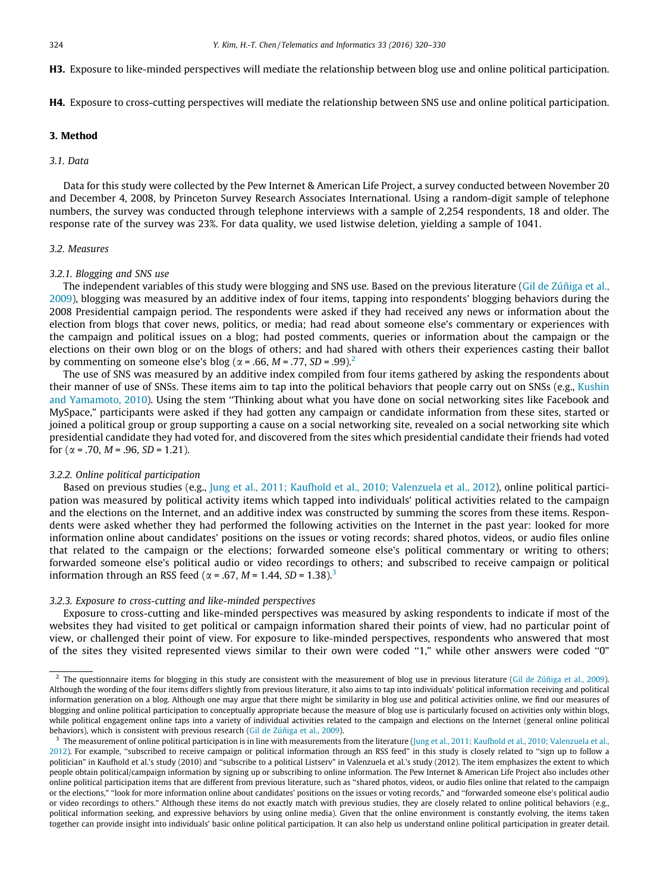<span id="page-4-0"></span>H3. Exposure to like-minded perspectives will mediate the relationship between blog use and online political participation.

H4. Exposure to cross-cutting perspectives will mediate the relationship between SNS use and online political participation.

## 3. Method

## 3.1. Data

Data for this study were collected by the Pew Internet & American Life Project, a survey conducted between November 20 and December 4, 2008, by Princeton Survey Research Associates International. Using a random-digit sample of telephone numbers, the survey was conducted through telephone interviews with a sample of 2,254 respondents, 18 and older. The response rate of the survey was 23%. For data quality, we used listwise deletion, yielding a sample of 1041.

## 3.2. Measures

#### 3.2.1. Blogging and SNS use

The independent variables of this study were blogging and SNS use. Based on the previous literature [\(Gil de Zúñiga et al.,](#page-9-0) [2009](#page-9-0)), blogging was measured by an additive index of four items, tapping into respondents' blogging behaviors during the 2008 Presidential campaign period. The respondents were asked if they had received any news or information about the election from blogs that cover news, politics, or media; had read about someone else's commentary or experiences with the campaign and political issues on a blog; had posted comments, queries or information about the campaign or the elections on their own blog or on the blogs of others; and had shared with others their experiences casting their ballot by commenting on someone else's blog ( $\alpha$  = .66, *M* = .77, *SD* = .99).<sup>2</sup>

The use of SNS was measured by an additive index compiled from four items gathered by asking the respondents about their manner of use of SNSs. These items aim to tap into the political behaviors that people carry out on SNSs (e.g., [Kushin](#page-9-0) [and Yamamoto, 2010\)](#page-9-0). Using the stem ''Thinking about what you have done on social networking sites like Facebook and MySpace," participants were asked if they had gotten any campaign or candidate information from these sites, started or joined a political group or group supporting a cause on a social networking site, revealed on a social networking site which presidential candidate they had voted for, and discovered from the sites which presidential candidate their friends had voted for ( $\alpha$  = .70,  $M$  = .96,  $SD = 1.21$ ).

#### 3.2.2. Online political participation

Based on previous studies (e.g., [Jung et al., 2011; Kaufhold et al., 2010; Valenzuela et al., 2012\)](#page-9-0), online political participation was measured by political activity items which tapped into individuals' political activities related to the campaign and the elections on the Internet, and an additive index was constructed by summing the scores from these items. Respondents were asked whether they had performed the following activities on the Internet in the past year: looked for more information online about candidates' positions on the issues or voting records; shared photos, videos, or audio files online that related to the campaign or the elections; forwarded someone else's political commentary or writing to others; forwarded someone else's political audio or video recordings to others; and subscribed to receive campaign or political information through an RSS feed ( $\alpha$  = .67, *M* = 1.44, *SD* = 1.38).<sup>3</sup>

### 3.2.3. Exposure to cross-cutting and like-minded perspectives

Exposure to cross-cutting and like-minded perspectives was measured by asking respondents to indicate if most of the websites they had visited to get political or campaign information shared their points of view, had no particular point of view, or challenged their point of view. For exposure to like-minded perspectives, respondents who answered that most of the sites they visited represented views similar to their own were coded ''1," while other answers were coded ''0"

 $2$  The questionnaire items for blogging in this study are consistent with the measurement of blog use in previous literature [\(Gil de Zúñiga et al., 2009\)](#page-9-0). Although the wording of the four items differs slightly from previous literature, it also aims to tap into individuals' political information receiving and political information generation on a blog. Although one may argue that there might be similarity in blog use and political activities online, we find our measures of blogging and online political participation to conceptually appropriate because the measure of blog use is particularly focused on activities only within blogs, while political engagement online taps into a variety of individual activities related to the campaign and elections on the Internet (general online political behaviors), which is consistent with previous research ([Gil de Zúñiga et al., 2009\)](#page-9-0).

<sup>&</sup>lt;sup>3</sup> The measurement of online political participation is in line with measurements from the literature [\(Jung et al., 2011; Kaufhold et al., 2010; Valenzuela et al.,](#page-9-0) [2012\)](#page-9-0). For example, ''subscribed to receive campaign or political information through an RSS feed" in this study is closely related to ''sign up to follow a politician" in Kaufhold et al.'s study (2010) and ''subscribe to a political Listserv" in Valenzuela et al.'s study (2012). The item emphasizes the extent to which people obtain political/campaign information by signing up or subscribing to online information. The Pew Internet & American Life Project also includes other online political participation items that are different from previous literature, such as ''shared photos, videos, or audio files online that related to the campaign or the elections," ''look for more information online about candidates' positions on the issues or voting records," and ''forwarded someone else's political audio or video recordings to others." Although these items do not exactly match with previous studies, they are closely related to online political behaviors (e.g., political information seeking, and expressive behaviors by using online media). Given that the online environment is constantly evolving, the items taken together can provide insight into individuals' basic online political participation. It can also help us understand online political participation in greater detail.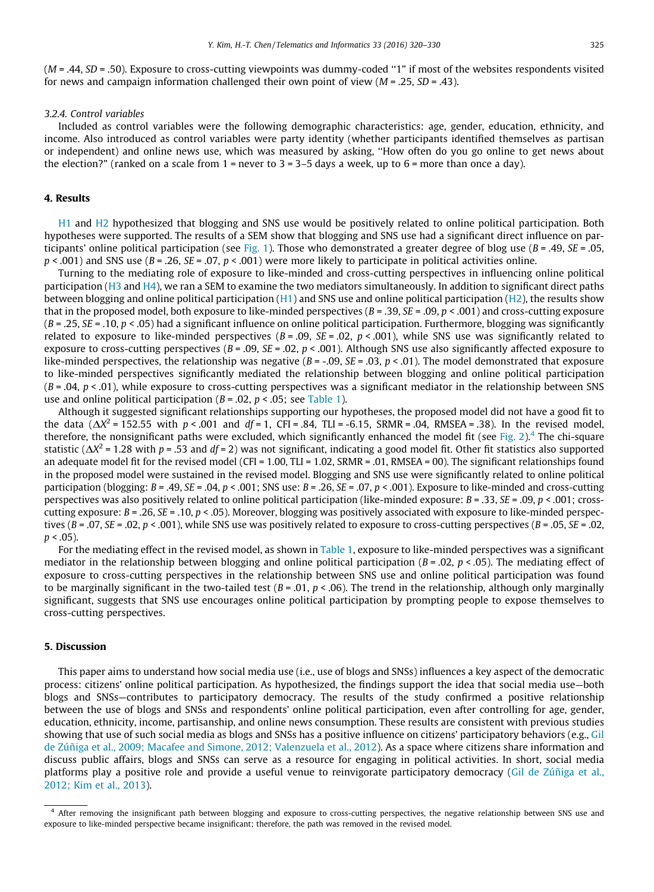$(M = .44, SD = .50)$ . Exposure to cross-cutting viewpoints was dummy-coded "1" if most of the websites respondents visited for news and campaign information challenged their own point of view  $(M = .25, SD = .43)$ .

## 3.2.4. Control variables

Included as control variables were the following demographic characteristics: age, gender, education, ethnicity, and income. Also introduced as control variables were party identity (whether participants identified themselves as partisan or independent) and online news use, which was measured by asking, ''How often do you go online to get news about the election?" (ranked on a scale from  $1 =$  never to  $3 = 3-5$  days a week, up to  $6 =$  more than once a day).

## 4. Results

[H1](#page-2-0) and [H2](#page-2-0) hypothesized that blogging and SNS use would be positively related to online political participation. Both hypotheses were supported. The results of a SEM show that blogging and SNS use had a significant direct influence on par-ticipants' online political participation (see [Fig. 1\)](#page-6-0). Those who demonstrated a greater degree of blog use ( $B = .49$ ,  $SE = .05$ ,  $p < .001$ ) and SNS use ( $B = .26$ ,  $SE = .07$ ,  $p < .001$ ) were more likely to participate in political activities online.

Turning to the mediating role of exposure to like-minded and cross-cutting perspectives in influencing online political participation [\(H3](#page-4-0) and [H4\)](#page-4-0), we ran a SEM to examine the two mediators simultaneously. In addition to significant direct paths between blogging and online political participation  $(H1)$  $(H1)$  and SNS use and online political participation  $(H2)$  $(H2)$ , the results show that in the proposed model, both exposure to like-minded perspectives  $(B = .39, SE = .09, p < .001)$  and cross-cutting exposure  $(B = .25, SE = .10, p < .05)$  had a significant influence on online political participation. Furthermore, blogging was significantly related to exposure to like-minded perspectives ( $B = .09$ ,  $SE = .02$ ,  $p < .001$ ), while SNS use was significantly related to exposure to cross-cutting perspectives ( $B = .09$ ,  $SE = .02$ ,  $p < .001$ ). Although SNS use also significantly affected exposure to like-minded perspectives, the relationship was negative  $(B = -.09, SE = .03, p < .01)$ . The model demonstrated that exposure to like-minded perspectives significantly mediated the relationship between blogging and online political participation  $(B = .04, p < .01)$ , while exposure to cross-cutting perspectives was a significant mediator in the relationship between SNS use and online political participation ( $B = .02$ ,  $p < .05$ ; see [Table 1](#page-6-0)).

Although it suggested significant relationships supporting our hypotheses, the proposed model did not have a good fit to the data  $(\Delta X^2 = 152.55$  with  $p < .001$  and df = 1, CFI = .84, TLI = -6.15, SRMR = .04, RMSEA = .38). In the revised model, therefore, the nonsignificant paths were excluded, which significantly enhanced the model fit (see [Fig. 2\)](#page-6-0).<sup>4</sup> The chi-square statistic ( $\Delta X^2$  = 1.28 with p = .53 and df = 2) was not significant, indicating a good model fit. Other fit statistics also supported an adequate model fit for the revised model (CFI = 1.00, TLI = 1.02, SRMR = .01, RMSEA = 00). The significant relationships found in the proposed model were sustained in the revised model. Blogging and SNS use were significantly related to online political participation (blogging:  $B = .49$ ,  $SE = .04$ ,  $p < .001$ ; SNS use:  $B = .26$ ,  $SE = .07$ ,  $p < .001$ ). Exposure to like-minded and cross-cutting perspectives was also positively related to online political participation (like-minded exposure:  $B = .33$ ,  $SE = .09$ ,  $p < .001$ ; crosscutting exposure:  $B = 0.26$ ,  $SE = 0.10$ ,  $p < 0.05$ ). Moreover, blogging was positively associated with exposure to like-minded perspectives ( $B = .07$ ,  $SE = .02$ ,  $p < .001$ ), while SNS use was positively related to exposure to cross-cutting perspectives ( $B = .05$ ,  $SE = .02$ ,  $p < .05$ ).

For the mediating effect in the revised model, as shown in [Table 1](#page-6-0), exposure to like-minded perspectives was a significant mediator in the relationship between blogging and online political participation ( $B = .02$ ,  $p < .05$ ). The mediating effect of exposure to cross-cutting perspectives in the relationship between SNS use and online political participation was found to be marginally significant in the two-tailed test ( $B = .01$ ,  $p < .06$ ). The trend in the relationship, although only marginally significant, suggests that SNS use encourages online political participation by prompting people to expose themselves to cross-cutting perspectives.

#### 5. Discussion

This paper aims to understand how social media use (i.e., use of blogs and SNSs) influences a key aspect of the democratic process: citizens' online political participation. As hypothesized, the findings support the idea that social media use—both blogs and SNSs—contributes to participatory democracy. The results of the study confirmed a positive relationship between the use of blogs and SNSs and respondents' online political participation, even after controlling for age, gender, education, ethnicity, income, partisanship, and online news consumption. These results are consistent with previous studies showing that use of such social media as blogs and SNSs has a positive influence on citizens' participatory behaviors (e.g., [Gil](#page-9-0) [de Zúñiga et al., 2009; Macafee and Simone, 2012; Valenzuela et al., 2012\)](#page-9-0). As a space where citizens share information and discuss public affairs, blogs and SNSs can serve as a resource for engaging in political activities. In short, social media platforms play a positive role and provide a useful venue to reinvigorate participatory democracy ([Gil de Zúñiga et al.,](#page-9-0) [2012; Kim et al., 2013](#page-9-0)).

<sup>4</sup> After removing the insignificant path between blogging and exposure to cross-cutting perspectives, the negative relationship between SNS use and exposure to like-minded perspective became insignificant; therefore, the path was removed in the revised model.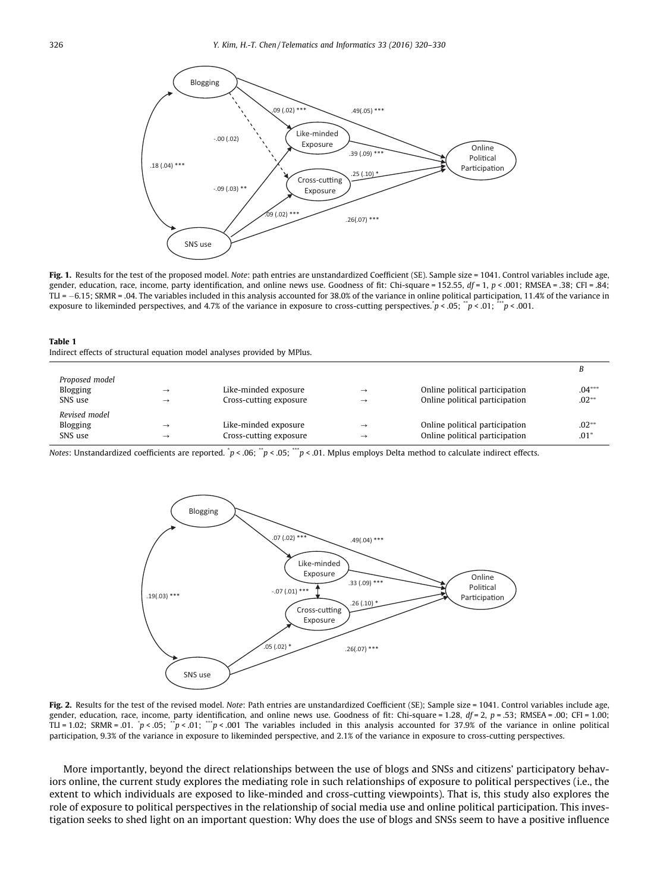<span id="page-6-0"></span>

Fig. 1. Results for the test of the proposed model. Note: path entries are unstandardized Coefficient (SE). Sample size = 1041. Control variables include age, gender, education, race, income, party identification, and online news use. Goodness of fit: Chi-square = 152.55,  $df = 1$ ,  $p < .001$ ; RMSEA = .38; CFI = .84; TLI = 6.15; SRMR = .04. The variables included in this analysis accounted for 38.0% of the variance in online political participation, 11.4% of the variance in exposure to likeminded perspectives, and 4.7% of the variance in exposure to cross-cutting perspectives.  $p < 0.05$ ; " $p < 0.01$ ; "" $p < 0.01$ .

| Table 1 |  |                                                                           |  |  |  |
|---------|--|---------------------------------------------------------------------------|--|--|--|
|         |  | Indirect effects of structural equation model analyses provided by MPlus. |  |  |  |

| Proposed model  |               |                        |               |                                |          |
|-----------------|---------------|------------------------|---------------|--------------------------------|----------|
| <b>Blogging</b> | →             | Like-minded exposure   | $\rightarrow$ | Online political participation | $.04***$ |
| SNS use         | $\rightarrow$ | Cross-cutting exposure | $\rightarrow$ | Online political participation | $.02**$  |
| Revised model   |               |                        |               |                                |          |
| Blogging        | →             | Like-minded exposure   | $\rightarrow$ | Online political participation | $.02***$ |
| SNS use         | $\rightarrow$ | Cross-cutting exposure | $\rightarrow$ | Online political participation | $.01*$   |

Notes: Unstandardized coefficients are reported.  $p < .06$ ;  $\H \nu < .05$ ;  $\H \nu < .01$ . Mplus employs Delta method to calculate indirect effects.



Fig. 2. Results for the test of the revised model. Note: Path entries are unstandardized Coefficient (SE); Sample size = 1041. Control variables include age, gender, education, race, income, party identification, and online news use. Goodness of fit: Chi-square = 1.28,  $df = 2$ ,  $p = .53$ ; RMSEA = .00; CFI = 1.00; TLI = 1.02; SRMR = .01.  $p < .05$ ; " $p < .01$ ; "" $p < .001$  The variables included in this analysis accounted for 37.9% of the variance in online political participation, 9.3% of the variance in exposure to likeminded perspective, and 2.1% of the variance in exposure to cross-cutting perspectives.

More importantly, beyond the direct relationships between the use of blogs and SNSs and citizens' participatory behaviors online, the current study explores the mediating role in such relationships of exposure to political perspectives (i.e., the extent to which individuals are exposed to like-minded and cross-cutting viewpoints). That is, this study also explores the role of exposure to political perspectives in the relationship of social media use and online political participation. This investigation seeks to shed light on an important question: Why does the use of blogs and SNSs seem to have a positive influence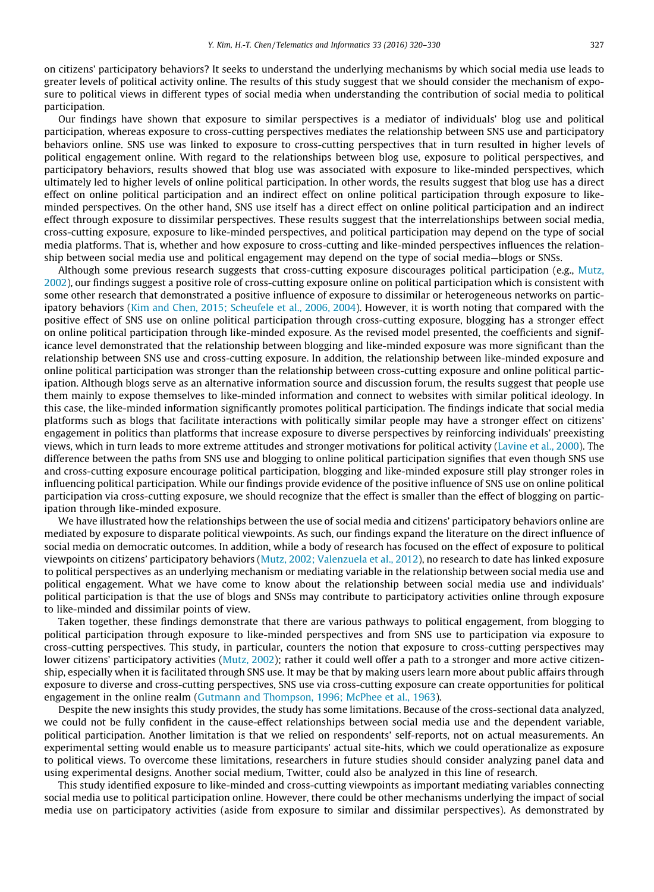on citizens' participatory behaviors? It seeks to understand the underlying mechanisms by which social media use leads to greater levels of political activity online. The results of this study suggest that we should consider the mechanism of exposure to political views in different types of social media when understanding the contribution of social media to political participation.

Our findings have shown that exposure to similar perspectives is a mediator of individuals' blog use and political participation, whereas exposure to cross-cutting perspectives mediates the relationship between SNS use and participatory behaviors online. SNS use was linked to exposure to cross-cutting perspectives that in turn resulted in higher levels of political engagement online. With regard to the relationships between blog use, exposure to political perspectives, and participatory behaviors, results showed that blog use was associated with exposure to like-minded perspectives, which ultimately led to higher levels of online political participation. In other words, the results suggest that blog use has a direct effect on online political participation and an indirect effect on online political participation through exposure to likeminded perspectives. On the other hand, SNS use itself has a direct effect on online political participation and an indirect effect through exposure to dissimilar perspectives. These results suggest that the interrelationships between social media, cross-cutting exposure, exposure to like-minded perspectives, and political participation may depend on the type of social media platforms. That is, whether and how exposure to cross-cutting and like-minded perspectives influences the relationship between social media use and political engagement may depend on the type of social media—blogs or SNSs.

Although some previous research suggests that cross-cutting exposure discourages political participation (e.g., [Mutz,](#page-9-0) [2002\)](#page-9-0), our findings suggest a positive role of cross-cutting exposure online on political participation which is consistent with some other research that demonstrated a positive influence of exposure to dissimilar or heterogeneous networks on participatory behaviors [\(Kim and Chen, 2015; Scheufele et al., 2006, 2004](#page-9-0)). However, it is worth noting that compared with the positive effect of SNS use on online political participation through cross-cutting exposure, blogging has a stronger effect on online political participation through like-minded exposure. As the revised model presented, the coefficients and significance level demonstrated that the relationship between blogging and like-minded exposure was more significant than the relationship between SNS use and cross-cutting exposure. In addition, the relationship between like-minded exposure and online political participation was stronger than the relationship between cross-cutting exposure and online political participation. Although blogs serve as an alternative information source and discussion forum, the results suggest that people use them mainly to expose themselves to like-minded information and connect to websites with similar political ideology. In this case, the like-minded information significantly promotes political participation. The findings indicate that social media platforms such as blogs that facilitate interactions with politically similar people may have a stronger effect on citizens' engagement in politics than platforms that increase exposure to diverse perspectives by reinforcing individuals' preexisting views, which in turn leads to more extreme attitudes and stronger motivations for political activity ([Lavine et al., 2000](#page-9-0)). The difference between the paths from SNS use and blogging to online political participation signifies that even though SNS use and cross-cutting exposure encourage political participation, blogging and like-minded exposure still play stronger roles in influencing political participation. While our findings provide evidence of the positive influence of SNS use on online political participation via cross-cutting exposure, we should recognize that the effect is smaller than the effect of blogging on participation through like-minded exposure.

We have illustrated how the relationships between the use of social media and citizens' participatory behaviors online are mediated by exposure to disparate political viewpoints. As such, our findings expand the literature on the direct influence of social media on democratic outcomes. In addition, while a body of research has focused on the effect of exposure to political viewpoints on citizens' participatory behaviors [\(Mutz, 2002; Valenzuela et al., 2012](#page-9-0)), no research to date has linked exposure to political perspectives as an underlying mechanism or mediating variable in the relationship between social media use and political engagement. What we have come to know about the relationship between social media use and individuals' political participation is that the use of blogs and SNSs may contribute to participatory activities online through exposure to like-minded and dissimilar points of view.

Taken together, these findings demonstrate that there are various pathways to political engagement, from blogging to political participation through exposure to like-minded perspectives and from SNS use to participation via exposure to cross-cutting perspectives. This study, in particular, counters the notion that exposure to cross-cutting perspectives may lower citizens' participatory activities [\(Mutz, 2002\)](#page-9-0); rather it could well offer a path to a stronger and more active citizenship, especially when it is facilitated through SNS use. It may be that by making users learn more about public affairs through exposure to diverse and cross-cutting perspectives, SNS use via cross-cutting exposure can create opportunities for political engagement in the online realm ([Gutmann and Thompson, 1996; McPhee et al., 1963\)](#page-9-0).

Despite the new insights this study provides, the study has some limitations. Because of the cross-sectional data analyzed, we could not be fully confident in the cause-effect relationships between social media use and the dependent variable, political participation. Another limitation is that we relied on respondents' self-reports, not on actual measurements. An experimental setting would enable us to measure participants' actual site-hits, which we could operationalize as exposure to political views. To overcome these limitations, researchers in future studies should consider analyzing panel data and using experimental designs. Another social medium, Twitter, could also be analyzed in this line of research.

This study identified exposure to like-minded and cross-cutting viewpoints as important mediating variables connecting social media use to political participation online. However, there could be other mechanisms underlying the impact of social media use on participatory activities (aside from exposure to similar and dissimilar perspectives). As demonstrated by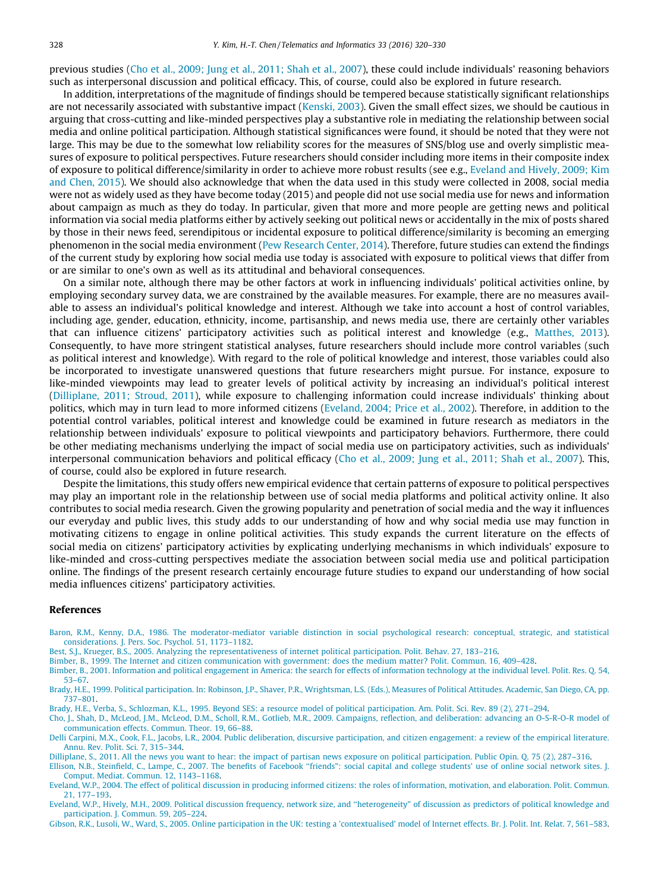<span id="page-8-0"></span>previous studies (Cho et al., 2009; Jung et al., 2011; Shah et al., 2007), these could include individuals' reasoning behaviors such as interpersonal discussion and political efficacy. This, of course, could also be explored in future research.

In addition, interpretations of the magnitude of findings should be tempered because statistically significant relationships are not necessarily associated with substantive impact ([Kenski, 2003\)](#page-9-0). Given the small effect sizes, we should be cautious in arguing that cross-cutting and like-minded perspectives play a substantive role in mediating the relationship between social media and online political participation. Although statistical significances were found, it should be noted that they were not large. This may be due to the somewhat low reliability scores for the measures of SNS/blog use and overly simplistic measures of exposure to political perspectives. Future researchers should consider including more items in their composite index of exposure to political difference/similarity in order to achieve more robust results (see e.g., Eveland and Hively, 2009; Kim and Chen, 2015). We should also acknowledge that when the data used in this study were collected in 2008, social media were not as widely used as they have become today (2015) and people did not use social media use for news and information about campaign as much as they do today. In particular, given that more and more people are getting news and political information via social media platforms either by actively seeking out political news or accidentally in the mix of posts shared by those in their news feed, serendipitous or incidental exposure to political difference/similarity is becoming an emerging phenomenon in the social media environment ([Pew Research Center, 2014](#page-9-0)). Therefore, future studies can extend the findings of the current study by exploring how social media use today is associated with exposure to political views that differ from or are similar to one's own as well as its attitudinal and behavioral consequences.

On a similar note, although there may be other factors at work in influencing individuals' political activities online, by employing secondary survey data, we are constrained by the available measures. For example, there are no measures available to assess an individual's political knowledge and interest. Although we take into account a host of control variables, including age, gender, education, ethnicity, income, partisanship, and news media use, there are certainly other variables that can influence citizens' participatory activities such as political interest and knowledge (e.g., [Matthes, 2013](#page-9-0)). Consequently, to have more stringent statistical analyses, future researchers should include more control variables (such as political interest and knowledge). With regard to the role of political knowledge and interest, those variables could also be incorporated to investigate unanswered questions that future researchers might pursue. For instance, exposure to like-minded viewpoints may lead to greater levels of political activity by increasing an individual's political interest (Dilliplane, 2011; Stroud, 2011), while exposure to challenging information could increase individuals' thinking about politics, which may in turn lead to more informed citizens (Eveland, 2004; Price et al., 2002). Therefore, in addition to the potential control variables, political interest and knowledge could be examined in future research as mediators in the relationship between individuals' exposure to political viewpoints and participatory behaviors. Furthermore, there could be other mediating mechanisms underlying the impact of social media use on participatory activities, such as individuals' interpersonal communication behaviors and political efficacy (Cho et al., 2009; Jung et al., 2011; Shah et al., 2007). This, of course, could also be explored in future research.

Despite the limitations, this study offers new empirical evidence that certain patterns of exposure to political perspectives may play an important role in the relationship between use of social media platforms and political activity online. It also contributes to social media research. Given the growing popularity and penetration of social media and the way it influences our everyday and public lives, this study adds to our understanding of how and why social media use may function in motivating citizens to engage in online political activities. This study expands the current literature on the effects of social media on citizens' participatory activities by explicating underlying mechanisms in which individuals' exposure to like-minded and cross-cutting perspectives mediate the association between social media use and political participation online. The findings of the present research certainly encourage future studies to expand our understanding of how social media influences citizens' participatory activities.

#### References

[Baron, R.M., Kenny, D.A., 1986. The moderator-mediator variable distinction in social psychological research: conceptual, strategic, and statistical](http://refhub.elsevier.com/S0736-5853(15)00107-0/h0005) [considerations. J. Pers. Soc. Psychol. 51, 1173–1182](http://refhub.elsevier.com/S0736-5853(15)00107-0/h0005).

[Best, S.J., Krueger, B.S., 2005. Analyzing the representativeness of internet political participation. Polit. Behav. 27, 183–216](http://refhub.elsevier.com/S0736-5853(15)00107-0/h0010).

[Bimber, B., 1999. The Internet and citizen communication with government: does the medium matter? Polit. Commun. 16, 409–428](http://refhub.elsevier.com/S0736-5853(15)00107-0/h0015).

[Bimber, B., 2001. Information and political engagement in America: the search for effects of information technology at the individual level. Polit.](http://refhub.elsevier.com/S0736-5853(15)00107-0/h0020) Res. Q. 54, [53–67](http://refhub.elsevier.com/S0736-5853(15)00107-0/h0020).

[Brady, H.E., 1999. Political participation. In: Robinson, J.P., Shaver, P.R., Wrightsman, L.S. \(Eds.\), Measures of Political Attitudes. Academic, San Diego, CA, pp.](http://refhub.elsevier.com/S0736-5853(15)00107-0/h0025) [737–801.](http://refhub.elsevier.com/S0736-5853(15)00107-0/h0025)

[Brady, H.E., Verba, S., Schlozman, K.L., 1995. Beyond SES: a resource model of political participation. Am. Polit. Sci. Rev. 89 \(2\), 271–294.](http://refhub.elsevier.com/S0736-5853(15)00107-0/h0030)

[Cho, J., Shah, D., McLeod, J.M., McLeod, D.M., Scholl, R.M., Gotlieb, M.R., 2009. Campaigns, reflection, and deliberation: advancing an O-S-R-O-R model of](http://refhub.elsevier.com/S0736-5853(15)00107-0/h0035)

[communication effects. Commun. Theor. 19, 66–88.](http://refhub.elsevier.com/S0736-5853(15)00107-0/h0035) [Delli Carpini, M.X., Cook, F.L., Jacobs, L.R., 2004. Public deliberation, discursive participation, and citizen engagement: a review of the empirical literature.](http://refhub.elsevier.com/S0736-5853(15)00107-0/h0040) [Annu. Rev. Polit. Sci. 7, 315–344](http://refhub.elsevier.com/S0736-5853(15)00107-0/h0040).

[Dilliplane, S., 2011. All the news you want to hear: the impact of partisan news exposure on political participation. Public Opin. Q. 75 \(2\), 287–316](http://refhub.elsevier.com/S0736-5853(15)00107-0/h0045).

[Ellison, N.B., Steinfield, C., Lampe, C., 2007. The benefits of Facebook ''friends](http://refhub.elsevier.com/S0736-5853(15)00107-0/h0050)"[: social capital and college students' use of online social network](http://refhub.elsevier.com/S0736-5853(15)00107-0/h0050) sites. J. [Comput. Mediat. Commun. 12, 1143–1168.](http://refhub.elsevier.com/S0736-5853(15)00107-0/h0050)

[Eveland, W.P., 2004. The effect of political discussion in producing informed citizens: the roles of information, motivation, and elaboration. Polit. Commun.](http://refhub.elsevier.com/S0736-5853(15)00107-0/h0055) [21, 177–193](http://refhub.elsevier.com/S0736-5853(15)00107-0/h0055).

[Eveland, W.P., Hively, M.H., 2009. Political discussion frequency, network size, and ''heterogeneity" of discussion as predictors of political knowledge and](http://refhub.elsevier.com/S0736-5853(15)00107-0/h0060) [participation. J. Commun. 59, 205–224.](http://refhub.elsevier.com/S0736-5853(15)00107-0/h0060)

[Gibson, R.K., Lusoli, W., Ward, S., 2005. Online participation in the UK: testing a 'contextualised' model of Internet effects. Br. J. Polit. Int. Relat. 7, 561–583.](http://refhub.elsevier.com/S0736-5853(15)00107-0/h0065)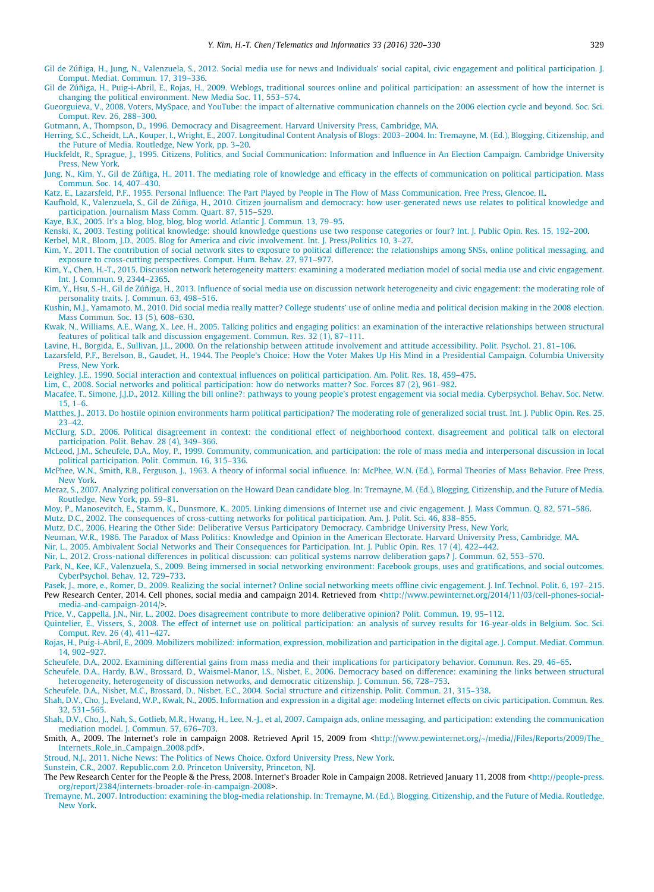- <span id="page-9-0"></span>[Gil de Zúñiga, H., Jung, N., Valenzuela, S., 2012. Social media use for news and Individuals' social capital, civic engagement and political participation. J.](http://refhub.elsevier.com/S0736-5853(15)00107-0/h0070) [Comput. Mediat. Commun. 17, 319–336.](http://refhub.elsevier.com/S0736-5853(15)00107-0/h0070)
- [Gil de Zúñiga, H., Puig-i-Abril, E., Rojas, H., 2009. Weblogs, traditional sources online and political participation: an assessment of how the internet is](http://refhub.elsevier.com/S0736-5853(15)00107-0/h0075) [changing the political environment. New Media Soc. 11, 553–574](http://refhub.elsevier.com/S0736-5853(15)00107-0/h0075).
- [Gueorguieva, V., 2008. Voters, MySpace, and YouTube: the impact of alternative communication channels on the 2006 election cycle and beyond. Soc. Sci.](http://refhub.elsevier.com/S0736-5853(15)00107-0/h0080) [Comput. Rev. 26, 288–300](http://refhub.elsevier.com/S0736-5853(15)00107-0/h0080).

[Gutmann, A., Thompson, D., 1996. Democracy and Disagreement. Harvard University Press, Cambridge, MA.](http://refhub.elsevier.com/S0736-5853(15)00107-0/h0085)

- [Herring, S.C., Scheidt, L.A., Kouper, I., Wright, E., 2007. Longitudinal Content Analysis of Blogs: 2003–2004. In: Tremayne, M. \(Ed.\), Blogging, Citizenship, and](http://refhub.elsevier.com/S0736-5853(15)00107-0/h0090) [the Future of Media. Routledge, New York, pp. 3–20](http://refhub.elsevier.com/S0736-5853(15)00107-0/h0090).
- [Huckfeldt, R., Sprague, J., 1995. Citizens, Politics, and Social Communication: Information and Influence in An Election Campaign. Cambridge University](http://refhub.elsevier.com/S0736-5853(15)00107-0/h0095) [Press, New York.](http://refhub.elsevier.com/S0736-5853(15)00107-0/h0095)
- [Jung, N., Kim, Y., Gil de Zúñiga, H., 2011. The mediating role of knowledge and efficacy in the effects of communication on political participation. Mass](http://refhub.elsevier.com/S0736-5853(15)00107-0/h0100) [Commun. Soc. 14, 407–430.](http://refhub.elsevier.com/S0736-5853(15)00107-0/h0100)
- [Katz, E., Lazarsfeld, P.F., 1955. Personal Influence: The Part Played by People in The Flow of Mass Communication. Free Press, Glencoe, IL.](http://refhub.elsevier.com/S0736-5853(15)00107-0/h0105)
- [Kaufhold, K., Valenzuela, S., Gil de Zúñiga, H., 2010. Citizen journalism and democracy: how user-generated news use relates to political knowledge](http://refhub.elsevier.com/S0736-5853(15)00107-0/h9000) and [participation. Journalism Mass Comm. Quart. 87, 515–529.](http://refhub.elsevier.com/S0736-5853(15)00107-0/h9000)
- [Kaye, B.K., 2005. It's a blog, blog, blog, blog world. Atlantic J. Commun. 13, 79–95](http://refhub.elsevier.com/S0736-5853(15)00107-0/h0110).
- [Kenski, K., 2003. Testing political knowledge: should knowledge questions use two response categories or four? Int. J. Public Opin. Res. 15, 192–200](http://refhub.elsevier.com/S0736-5853(15)00107-0/h0115).
- [Kerbel, M.R., Bloom, J.D., 2005. Blog for America and civic involvement. Int. J. Press/Politics 10, 3–27](http://refhub.elsevier.com/S0736-5853(15)00107-0/h0120).
- [Kim, Y., 2011. The contribution of social network sites to exposure to political difference: the relationships among SNSs, online political messaging, and](http://refhub.elsevier.com/S0736-5853(15)00107-0/h0125) [exposure to cross-cutting perspectives. Comput. Hum. Behav. 27, 971–977.](http://refhub.elsevier.com/S0736-5853(15)00107-0/h0125)
- [Kim, Y., Chen, H.-T., 2015. Discussion network heterogeneity matters: examining a moderated mediation model of social media use and civic engagement.](http://refhub.elsevier.com/S0736-5853(15)00107-0/h0130) [Int. J. Commun. 9, 2344–2365.](http://refhub.elsevier.com/S0736-5853(15)00107-0/h0130)
- [Kim, Y., Hsu, S.-H., Gil de Zúñiga, H., 2013. Influence of social media use on discussion network heterogeneity and civic engagement: the moderating role of](http://refhub.elsevier.com/S0736-5853(15)00107-0/h0135) [personality traits. J. Commun. 63, 498–516.](http://refhub.elsevier.com/S0736-5853(15)00107-0/h0135)
- [Kushin, M.J., Yamamoto, M., 2010. Did social media really matter? College students' use of online media and political decision making in the 2008 election.](http://refhub.elsevier.com/S0736-5853(15)00107-0/h0140) [Mass Commun. Soc. 13 \(5\), 608–630](http://refhub.elsevier.com/S0736-5853(15)00107-0/h0140).
- [Kwak, N., Williams, A.E., Wang, X., Lee, H., 2005. Talking politics and engaging politics: an examination of the interactive relationships between structural](http://refhub.elsevier.com/S0736-5853(15)00107-0/h0145) [features of political talk and discussion engagement. Commun. Res. 32 \(1\), 87–111.](http://refhub.elsevier.com/S0736-5853(15)00107-0/h0145)
- [Lavine, H., Borgida, E., Sullivan, J.L., 2000. On the relationship between attitude involvement and attitude accessibility. Polit. Psychol. 21, 81–106](http://refhub.elsevier.com/S0736-5853(15)00107-0/h0150).
- [Lazarsfeld, P.F., Berelson, B., Gaudet, H., 1944. The People's Choice: How the Voter Makes Up His Mind in a Presidential Campaign. Columbia University](http://refhub.elsevier.com/S0736-5853(15)00107-0/h0155) [Press, New York.](http://refhub.elsevier.com/S0736-5853(15)00107-0/h0155)
- [Leighley, J.E., 1990. Social interaction and contextual influences on political participation. Am. Polit. Res. 18, 459–475.](http://refhub.elsevier.com/S0736-5853(15)00107-0/h0160)
- [Lim, C., 2008. Social networks and political participation: how do networks matter? Soc. Forces 87 \(2\), 961–982.](http://refhub.elsevier.com/S0736-5853(15)00107-0/h0165)
- [Macafee, T., Simone, J.J.D., 2012. Killing the bill online?: pathways to young people's protest engagement via social media. Cyberpsychol. Behav. Soc. Netw.](http://refhub.elsevier.com/S0736-5853(15)00107-0/h0170) [15, 1–6.](http://refhub.elsevier.com/S0736-5853(15)00107-0/h0170)
- [Matthes, J., 2013. Do hostile opinion environments harm political participation? The moderating role of generalized social trust. Int. J. Public Opin. Res. 25,](http://refhub.elsevier.com/S0736-5853(15)00107-0/h0175) [23–42.](http://refhub.elsevier.com/S0736-5853(15)00107-0/h0175)
- [McClurg, S.D., 2006. Political disagreement in context: the conditional effect of neighborhood context, disagreement and political talk on electoral](http://refhub.elsevier.com/S0736-5853(15)00107-0/h0180) [participation. Polit. Behav. 28 \(4\), 349–366.](http://refhub.elsevier.com/S0736-5853(15)00107-0/h0180)
- [McLeod, J.M., Scheufele, D.A., Moy, P., 1999. Community, communication, and participation: the role of mass media and interpersonal discussion in local](http://refhub.elsevier.com/S0736-5853(15)00107-0/h0185) [political participation. Polit. Commun. 16, 315–336.](http://refhub.elsevier.com/S0736-5853(15)00107-0/h0185)
- [McPhee, W.N., Smith, R.B., Ferguson, J., 1963. A theory of informal social influence. In: McPhee, W.N. \(Ed.\), Formal Theories of Mass Behavior. Free Press,](http://refhub.elsevier.com/S0736-5853(15)00107-0/h0190) [New York.](http://refhub.elsevier.com/S0736-5853(15)00107-0/h0190)
- [Meraz, S., 2007. Analyzing political conversation on the Howard Dean candidate blog. In: Tremayne, M. \(Ed.\), Blogging, Citizenship, and the Future of Media.](http://refhub.elsevier.com/S0736-5853(15)00107-0/h0195) [Routledge, New York, pp. 59–81.](http://refhub.elsevier.com/S0736-5853(15)00107-0/h0195)
- [Moy, P., Manosevitch, E., Stamm, K., Dunsmore, K., 2005. Linking dimensions of Internet use and civic engagement. J. Mass Commun. Q. 82, 571–586.](http://refhub.elsevier.com/S0736-5853(15)00107-0/h0200) [Mutz, D.C., 2002. The consequences of cross-cutting networks for political participation. Am. J. Polit. Sci. 46, 838–855.](http://refhub.elsevier.com/S0736-5853(15)00107-0/h0205)
- [Mutz, D.C., 2006. Hearing the Other Side: Deliberative Versus Participatory Democracy. Cambridge University Press, New York](http://refhub.elsevier.com/S0736-5853(15)00107-0/h0210).
- [Neuman, W.R., 1986. The Paradox of Mass Politics: Knowledge and Opinion in the American Electorate. Harvard University Press, Cambridge, MA.](http://refhub.elsevier.com/S0736-5853(15)00107-0/h0215)
- [Nir, L., 2005. Ambivalent Social Networks and Their Consequences for Participation. Int. J. Public Opin. Res. 17 \(4\), 422–442.](http://refhub.elsevier.com/S0736-5853(15)00107-0/h0220)
- [Nir, L., 2012. Cross-national differences in political discussion: can political systems narrow deliberation gaps? J. Commun. 62, 553–570.](http://refhub.elsevier.com/S0736-5853(15)00107-0/h0225)
- [Park, N., Kee, K.F., Valenzuela, S., 2009. Being immersed in social networking environment: Facebook groups, uses and gratifications, and social outcomes.](http://refhub.elsevier.com/S0736-5853(15)00107-0/h0230) [CyberPsychol. Behav. 12, 729–733.](http://refhub.elsevier.com/S0736-5853(15)00107-0/h0230)
- [Pasek, J., more, e., Romer, D., 2009. Realizing the social internet? Online social networking meets offline civic engagement. J. Inf. Technol. Polit.](http://refhub.elsevier.com/S0736-5853(15)00107-0/h0235) 6, 197–215. Pew Research Center, 2014. Cell phones, social media and campaign 2014. Retrieved from [<http://www.pewinternet.org/2014/11/03/cell-phones-social](http://www.pewinternet.org/2014/11/03/cell-phones-social-media-and-campaign-2014/)[media-and-campaign-2014/>](http://www.pewinternet.org/2014/11/03/cell-phones-social-media-and-campaign-2014/).
- [Price, V., Cappella, J.N., Nir, L., 2002. Does disagreement contribute to more deliberative opinion? Polit. Commun. 19, 95–112](http://refhub.elsevier.com/S0736-5853(15)00107-0/h0245).
- [Quintelier, E., Vissers, S., 2008. The effect of internet use on political participation: an analysis of survey results for 16-year-olds in Belgium.](http://refhub.elsevier.com/S0736-5853(15)00107-0/h0250) Soc. Sci. [Comput. Rev. 26 \(4\), 411–427.](http://refhub.elsevier.com/S0736-5853(15)00107-0/h0250)
- [Rojas, H., Puig-i-Abril, E., 2009. Mobilizers mobilized: information, expression, mobilization and participation in the digital age. J. Comput. Mediat. Commun.](http://refhub.elsevier.com/S0736-5853(15)00107-0/h0255) [14, 902–927.](http://refhub.elsevier.com/S0736-5853(15)00107-0/h0255)
- [Scheufele, D.A., 2002. Examining differential gains from mass media and their implications for participatory behavior. Commun. Res. 29, 46–65](http://refhub.elsevier.com/S0736-5853(15)00107-0/h0260).
- [Scheufele, D.A., Hardy, B.W., Brossard, D., Waismel-Manor, I.S., Nisbet, E., 2006. Democracy based on difference: examining the links between structural](http://refhub.elsevier.com/S0736-5853(15)00107-0/h0265) [heterogeneity, heterogeneity of discussion networks, and democratic citizenship. J. Commun. 56, 728–753.](http://refhub.elsevier.com/S0736-5853(15)00107-0/h0265)
- [Scheufele, D.A., Nisbet, M.C., Brossard, D., Nisbet, E.C., 2004. Social structure and citizenship. Polit. Commun. 21, 315–338](http://refhub.elsevier.com/S0736-5853(15)00107-0/h0270).
- [Shah, D.V., Cho, J., Eveland, W.P., Kwak, N., 2005. Information and expression in a digital age: modeling Internet effects on civic participation. Commun. Res.](http://refhub.elsevier.com/S0736-5853(15)00107-0/h0275) [32, 531–565.](http://refhub.elsevier.com/S0736-5853(15)00107-0/h0275)
- [Shah, D.V., Cho, J., Nah, S., Gotlieb, M.R., Hwang, H., Lee, N.-J., et al, 2007. Campaign ads, online messaging, and participation: extending the communication](http://refhub.elsevier.com/S0736-5853(15)00107-0/h0280) [mediation model. J. Commun. 57, 676–703](http://refhub.elsevier.com/S0736-5853(15)00107-0/h0280).
- Smith, A., 2009. The Internet's role in campaign 2008. Retrieved April 15, 2009 from <[http://www.pewinternet.org/~/media//Files/Reports/2009/The\\_](http://www.pewinternet.org/~/media//Files/Reports/2009/The_Internets_Role_in_Campaign_2008.pdf) [Internets\\_Role\\_in\\_Campaign\\_2008.pdf](http://www.pewinternet.org/~/media//Files/Reports/2009/The_Internets_Role_in_Campaign_2008.pdf)>.
- [Stroud, N.J., 2011. Niche News: The Politics of News Choice. Oxford University Press, New York.](http://refhub.elsevier.com/S0736-5853(15)00107-0/h0290)
- [Sunstein, C.R., 2007. Republic.com 2.0. Princeton University, Princeton, NJ](http://refhub.elsevier.com/S0736-5853(15)00107-0/h0295).
- The Pew Research Center for the People & the Press, 2008. Internet's Broader Role in Campaign 2008. Retrieved January 11, 2008 from [<http://people-press.](http://people-press.org/report/2384/internets-broader-role-in-campaign-2008) [org/report/2384/internets-broader-role-in-campaign-2008>](http://people-press.org/report/2384/internets-broader-role-in-campaign-2008).
- [Tremayne, M., 2007. Introduction: examining the blog-media relationship. In: Tremayne, M. \(Ed.\), Blogging, Citizenship, and the Future of Media. Routledge,](http://refhub.elsevier.com/S0736-5853(15)00107-0/h0305) [New York.](http://refhub.elsevier.com/S0736-5853(15)00107-0/h0305)